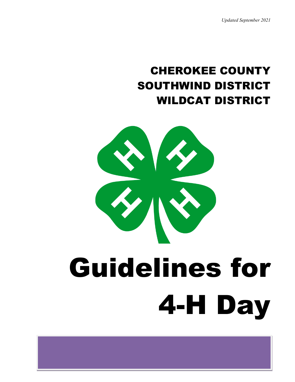*Updated September 2021*

# CHEROKEE COUNTY SOUTHWIND DISTRICT WILDCAT DISTRICT

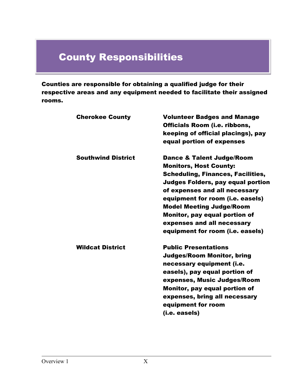# County Responsibilities

Counties are responsible for obtaining a qualified judge for their respective areas and any equipment needed to facilitate their assigned rooms.

| <b>Cherokee County</b>    | <b>Volunteer Badges and Manage</b><br><b>Officials Room (i.e. ribbons,</b><br>keeping of official placings), pay<br>equal portion of expenses                                                                                                                                                                                                                            |
|---------------------------|--------------------------------------------------------------------------------------------------------------------------------------------------------------------------------------------------------------------------------------------------------------------------------------------------------------------------------------------------------------------------|
| <b>Southwind District</b> | <b>Dance &amp; Talent Judge/Room</b><br><b>Monitors, Host County:</b><br><b>Scheduling, Finances, Facilities,</b><br><b>Judges Folders, pay equal portion</b><br>of expenses and all necessary<br>equipment for room (i.e. easels)<br><b>Model Meeting Judge/Room</b><br>Monitor, pay equal portion of<br>expenses and all necessary<br>equipment for room (i.e. easels) |
| <b>Wildcat District</b>   | <b>Public Presentations</b><br><b>Judges/Room Monitor, bring</b><br>necessary equipment (i.e.<br>easels), pay equal portion of<br>expenses, Music Judges/Room<br>Monitor, pay equal portion of<br>expenses, bring all necessary<br>equipment for room<br>(i.e. easels)                                                                                                   |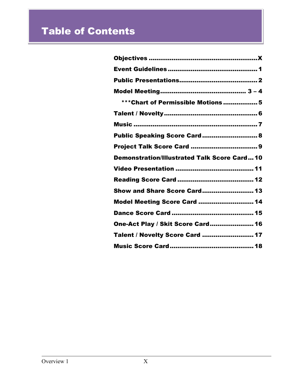# Table of Contents

| *** Chart of Permissible Motions  5                |
|----------------------------------------------------|
|                                                    |
|                                                    |
| Public Speaking Score Card 8                       |
|                                                    |
|                                                    |
| <b>Demonstration/Illustrated Talk Score Card10</b> |
|                                                    |
|                                                    |
| Show and Share Score Card 13                       |
| Model Meeting Score Card  14                       |
|                                                    |
| One-Act Play / Skit Score Card 16                  |
| Talent / Novelty Score Card  17                    |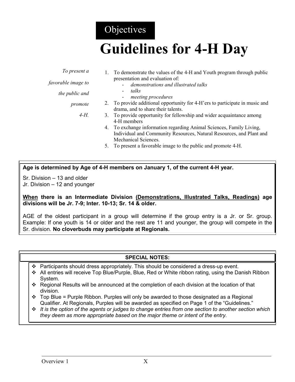## **Objectives**

# **Guidelines for 4-H Day**

 $1.5$  demonstrate the values of the 4-H and Youth program through public

|                    | To demonstrate the values of the 4-11 and Touth program unough public        |
|--------------------|------------------------------------------------------------------------------|
|                    | presentation and evaluation of:                                              |
| favorable image to | demonstrations and illustrated talks                                         |
| the public and     | talks                                                                        |
|                    | meeting procedures                                                           |
| promote            | 2. To provide additional opportunity for 4-H ers to participate in music and |
|                    | drama, and to share their talents.                                           |
| $4-H$ .            | 3. To provide opportunity for fellowship and wider acquaintance among        |
|                    | 4-H members                                                                  |
|                    | 4. To exchange information regarding Animal Sciences, Family Living,         |
|                    | Individual and Community Resources, Natural Resources, and Plant and         |
|                    | Mechanical Sciences.                                                         |
|                    | 5. To present a favorable image to the public and promote 4-H.               |

**Age is determined by Age of 4-H members on January 1, of the current 4-H year.**

Sr. Division – 13 and older Jr. Division – 12 and younger

*To present a*

**When there is an Intermediate Division (Demonstrations, Illustrated Talks, Readings) age divisions will be Jr. 7-9; Inter. 10-13; Sr. 14 & older.**

AGE of the oldest participant in a group will determine if the group entry is a Jr. or Sr. group. Example: If one youth is 14 or older and the rest are 11 and younger, the group will compete in the Sr. division. **No cloverbuds may participate at Regionals.**

#### **SPECIAL NOTES:**

- $\clubsuit$  Participants should dress appropriately. This should be considered a dress-up event.
- All entries will receive Top Blue/Purple, Blue, Red or White ribbon rating, using the Danish Ribbon System.
- $\div$  Regional Results will be announced at the completion of each division at the location of that division.
- $\div$  Top Blue = Purple Ribbon. Purples will only be awarded to those designated as a Regional Qualifier. At Regionals, Purples will be awarded as specified on Page 1 of the "Guidelines."
- *It is the option of the agents or judges to change entries from one section to another section which they deem as more appropriate based on the major theme or intent of the entry.*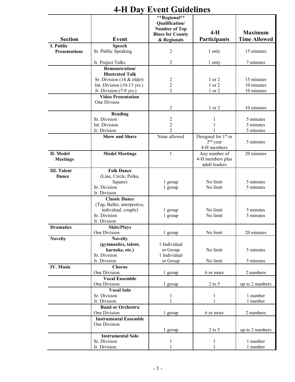| <b>Section</b>       | <b>Event</b>                 | **Regional**<br>Qualification/<br><b>Number of Top</b><br><b>Blues for County</b><br>& Regionals | $4-H$<br><b>Participants</b>    | <b>Maximum</b><br><b>Time Allowed</b> |
|----------------------|------------------------------|--------------------------------------------------------------------------------------------------|---------------------------------|---------------------------------------|
| I. Public            | <b>Speech</b>                |                                                                                                  |                                 |                                       |
| <b>Presentations</b> | Sr. Public Speaking          | $\overline{c}$                                                                                   | 1 only                          | 15 minutes                            |
|                      | Jr. Project Talks            | $\overline{2}$                                                                                   | 1 only                          | 7 minutes                             |
|                      | Demonstration/               |                                                                                                  |                                 |                                       |
|                      | <b>Illustrated Talk</b>      |                                                                                                  |                                 |                                       |
|                      | Sr. Division $(14 &$ older)  | $\overline{c}$                                                                                   | 1 or 2                          | 15 minutes                            |
|                      | Int. Division (10-13 yrs.)   | $\overline{c}$                                                                                   | $1$ or $2$                      | 10 minutes                            |
|                      | Jr. Division (7-9 yrs.)      | $\overline{2}$                                                                                   | 1 or 2                          | 10 minutes                            |
|                      | <b>Video Presentation</b>    |                                                                                                  |                                 |                                       |
|                      | One Divison                  |                                                                                                  |                                 |                                       |
|                      |                              | $\overline{2}$                                                                                   | 1 or 2                          | 10 minutes                            |
|                      |                              |                                                                                                  |                                 |                                       |
|                      | Reading                      |                                                                                                  |                                 |                                       |
|                      | Sr. Division                 | $\boldsymbol{2}$                                                                                 | 1                               | 5 minutes                             |
|                      | Int. Division                | $\overline{c}$                                                                                   |                                 | 5 minutes                             |
|                      | Jr. Division                 | $\overline{2}$                                                                                   |                                 | 5 minutes                             |
|                      | <b>Show and Share</b>        | None allowed                                                                                     | Designed for 1 <sup>st</sup> or |                                       |
|                      |                              |                                                                                                  | $2nd$ year                      | 5 minutes                             |
|                      |                              |                                                                                                  | 4-H members                     |                                       |
| II. Model            | <b>Model Meetings</b>        | $\mathbf{1}$                                                                                     | Any number of                   | 20 minutes                            |
| <b>Meetings</b>      |                              |                                                                                                  | 4-H members plus                |                                       |
|                      |                              |                                                                                                  | adult leaders                   |                                       |
| <b>III. Talent</b>   | <b>Folk Dance</b>            |                                                                                                  |                                 |                                       |
| <b>Dance</b>         | (Line, Circle, Polka,        |                                                                                                  |                                 |                                       |
|                      | Square)                      | 1 group                                                                                          | No limit                        | 5 minutes                             |
|                      | Sr. Division                 | 1 group                                                                                          | No limit                        | 5 minutes                             |
|                      | Jr. Division                 |                                                                                                  |                                 |                                       |
|                      |                              |                                                                                                  |                                 |                                       |
|                      | <b>Classic Dance</b>         |                                                                                                  |                                 |                                       |
|                      | (Tap, Ballet, interpretive,  |                                                                                                  |                                 |                                       |
|                      | individual, couple)          | 1 group                                                                                          | No limit                        | 5 minutes                             |
|                      | Sr. Division                 | 1 group                                                                                          | No limit                        | 5 minutes                             |
|                      | Jr. Division                 |                                                                                                  |                                 |                                       |
| <b>Dramatics</b>     | <b>Skits/Plays</b>           |                                                                                                  |                                 |                                       |
|                      | One Division                 | 1 group                                                                                          | No limit                        | 20 minutes                            |
| <b>Novelty</b>       | <b>Novelty</b>               |                                                                                                  |                                 |                                       |
|                      | (gymnastics, talent,         | 1 Individual                                                                                     |                                 |                                       |
|                      | karaoke, etc.)               | or Group                                                                                         | No limit                        | 5 minutes                             |
|                      | Sr. Division                 | 1 Individual                                                                                     |                                 |                                       |
|                      | Jr. Division                 | or Group                                                                                         | No limit                        | 5 minutes                             |
| <b>IV. Music</b>     | <b>Chorus</b>                |                                                                                                  |                                 |                                       |
|                      | One Division                 | 1 group                                                                                          | 6 or more                       | 2 numbers                             |
|                      | <b>Vocal Ensemble</b>        |                                                                                                  |                                 |                                       |
|                      | One Division                 |                                                                                                  |                                 |                                       |
|                      |                              | 1 group                                                                                          | $2$ to 5                        | up to 2 numbers                       |
|                      | <b>Vocal Solo</b>            |                                                                                                  |                                 |                                       |
|                      | Sr. Division                 | 1                                                                                                | 1                               | 1 number                              |
|                      | Jr. Division                 |                                                                                                  |                                 | 1 number                              |
|                      | <b>Band or Orchestra</b>     |                                                                                                  |                                 |                                       |
|                      | One Division                 | 1 group                                                                                          | 6 or more                       | 2 numbers                             |
|                      | <b>Instrumental Ensemble</b> |                                                                                                  |                                 |                                       |
|                      | One Division                 |                                                                                                  |                                 |                                       |
|                      |                              | 1 group                                                                                          | $2$ to $5$                      | up to 2 numbers                       |
|                      | <b>Instrumental Solo</b>     |                                                                                                  |                                 |                                       |
|                      | Sr. Division                 | 1                                                                                                | 1                               | 1 number                              |
|                      | Jr. Division                 | 1                                                                                                | 1                               | 1 number                              |
|                      |                              |                                                                                                  |                                 |                                       |

## **4-H Day Event Guidelines**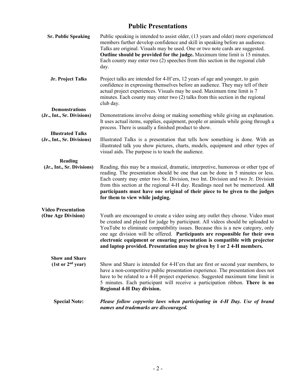#### **Public Presentations**

| <b>Sr. Public Speaking</b>                                       | Public speaking is intended to assist older, (13 years and older) more experienced<br>members further develop confidence and skill in speaking before an audience.<br>Talks are original. Visuals may be used. One or two note cards are suggested.<br>Outline should be provided for the judge. Maximum time limit is 15 minutes.<br>Each county may enter two (2) speeches from this section in the regional club<br>day.                                                                   |
|------------------------------------------------------------------|-----------------------------------------------------------------------------------------------------------------------------------------------------------------------------------------------------------------------------------------------------------------------------------------------------------------------------------------------------------------------------------------------------------------------------------------------------------------------------------------------|
| Jr. Project Talks                                                | Project talks are intended for 4-H'ers, 12 years of age and younger, to gain<br>confidence in expressing themselves before an audience. They may tell of their<br>actual project experiences. Visuals may be used. Maximum time limit is 7<br>minutes. Each county may enter two (2) talks from this section in the regional<br>club day.                                                                                                                                                     |
| <b>Demonstrations</b><br>(Jr., Int., Sr. Divisions)              | Demonstrations involve doing or making something while giving an explanation.<br>It uses actual items, supplies, equipment, people or animals while going through a                                                                                                                                                                                                                                                                                                                           |
| <b>Illustrated Talks</b><br>(Jr., Int., Sr. Divisions)           | process. There is usually a finished product to show.<br>Illustrated Talks is a presentation that tells how something is done. With an<br>illustrated talk you show pictures, charts, models, equipment and other types of<br>visual aids. The purpose is to teach the audience.                                                                                                                                                                                                              |
| Reading<br>(Jr., Int., Sr. Divisions)                            | Reading, this may be a musical, dramatic, interpretive, humorous or other type of<br>reading. The presentation should be one that can be done in 5 minutes or less.<br>Each county may enter two Sr. Division, two Int. Division and two Jr. Division<br>from this section at the regional 4-H day. Readings need not be memorized. All<br>participants must have one original of their piece to be given to the judges<br>for them to view while judging.                                    |
| <b>Video Presentation</b><br>(One Age Division)                  | Youth are encouraged to create a video using any outlet they choose. Video must<br>be created and played for judge by participant. All videos should be uploaded to<br>YouTube to eliminate compatibility issues. Because this is a new category, only<br>one age division will be offered. Participants are responsible for their own<br>electronic equipment or ensuring presentation is compatible with projector<br>and laptop provided. Presentation may be given by 1 or 2 4-H members. |
| <b>Show and Share</b><br>$(1st \text{ or } 2^{nd} \text{ year})$ | Show and Share is intended for 4-H'ers that are first or second year members, to<br>have a non-competitive public presentation experience. The presentation does not<br>have to be related to a 4-H project experience. Suggested maximum time limit is<br>5 minutes. Each participant will receive a participation ribbon. There is no<br><b>Regional 4-H Day division.</b>                                                                                                                  |
| <b>Special Note:</b>                                             | Please follow copywrite laws when participating in 4-H Day. Use of brand<br>names and trademarks are discouraged.                                                                                                                                                                                                                                                                                                                                                                             |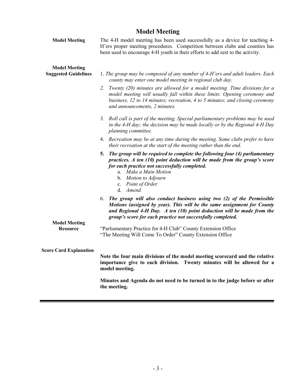#### **Model Meeting**

| <b>Model Meeting</b>                                | The 4-H model meeting has been used successfully as a device for teaching 4-<br>H'ers proper meeting procedures. Competition between clubs and counties has<br>been used to encourage 4-H youth in their efforts to add zest to the activity.                                                       |  |  |  |
|-----------------------------------------------------|-----------------------------------------------------------------------------------------------------------------------------------------------------------------------------------------------------------------------------------------------------------------------------------------------------|--|--|--|
| <b>Model Meeting</b><br><b>Suggested Guidelines</b> | 1. The group may be composed of any number of 4-H'ers and adult leaders. Each<br>county may enter one model meeting in regional club day.                                                                                                                                                           |  |  |  |
|                                                     | 2. Twenty (20) minutes are allowed for a model meeting. Time divisions for a<br>model meeting will usually fall within these limits: Opening ceremony and<br>business, 12 to 14 minutes; recreation, 4 to 5 minutes; and closing ceremony<br>and announcements, 2 minutes.                          |  |  |  |
|                                                     | 3. Roll call is part of the meeting. Special parliamentary problems may be used<br>in the 4-H day; the decision may be made locally or by the Regional 4-H Day<br>planning committee.                                                                                                               |  |  |  |
|                                                     | 4. Recreation may be at any time during the meeting. Some clubs prefer to have<br>their recreation at the start of the meeting rather than the end.                                                                                                                                                 |  |  |  |
|                                                     | The group will be required to complete the following four (4) parliamentary<br>5.<br>practices. A ten $(10)$ point deduction will be made from the group's score<br>for each practice not successfully completed.<br>a. Make a Main Motion<br>b. Motion to Adjourn<br>c. Point of Order<br>d. Amend |  |  |  |
|                                                     | 6. The group will also conduct business using two (2) of the Permissible<br>Motions (assigned by year). This will be the same assignment for County<br>and Regional 4-H Day. $A$ ten (10) point deduction will be made from the<br>group's score for each practice not successfully completed.      |  |  |  |
| <b>Model Meeting</b><br><b>Resource</b>             | "Parliamentary Practice for 4-H Club" County Extension Office<br>"The Meeting Will Come To Order" County Extension Office                                                                                                                                                                           |  |  |  |
| <b>Score Card Explanation</b>                       | Note the four main divisions of the model meeting scorecard and the relative<br>importance give to each division. Twenty minutes will be allowed for a<br>model meeting.                                                                                                                            |  |  |  |
|                                                     | Minutes and Agenda do not need to be turned in to the judge before or after<br>the meeting.                                                                                                                                                                                                         |  |  |  |

٠

 $\equiv$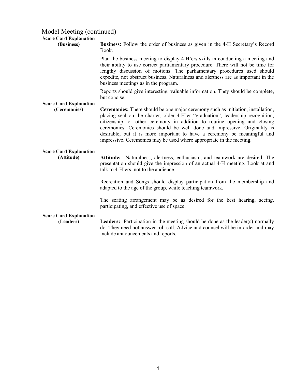#### Model Meeting (continued)

#### **Score Card Explanation**

| Score Card Explanation<br>(Business)          | <b>Business:</b> Follow the order of business as given in the 4-H Secretary's Record<br>Book.                                                                                                                                                                                                                                                                                                                                                                                     |
|-----------------------------------------------|-----------------------------------------------------------------------------------------------------------------------------------------------------------------------------------------------------------------------------------------------------------------------------------------------------------------------------------------------------------------------------------------------------------------------------------------------------------------------------------|
|                                               | Plan the business meeting to display 4-H'ers skills in conducting a meeting and<br>their ability to use correct parliamentary procedure. There will not be time for<br>lengthy discussion of motions. The parliamentary procedures used should<br>expedite, not obstruct business. Naturalness and alertness are as important in the<br>business meetings as in the program.                                                                                                      |
|                                               | Reports should give interesting, valuable information. They should be complete,<br>but concise.                                                                                                                                                                                                                                                                                                                                                                                   |
| <b>Score Card Explanation</b><br>(Ceremonies) | Ceremonies: There should be one major ceremony such as initiation, installation,<br>placing seal on the charter, older 4-H'er "graduation", leadership recognition,<br>citizenship, or other ceremony in addition to routine opening and closing<br>ceremonies. Ceremonies should be well done and impressive. Originality is<br>desirable, but it is more important to have a ceremony be meaningful and<br>impressive. Ceremonies may be used where appropriate in the meeting. |
| <b>Score Card Explanation</b><br>(Attitude)   | Attitude: Naturalness, alertness, enthusiasm, and teamwork are desired. The<br>presentation should give the impression of an actual 4-H meeting. Look at and<br>talk to 4-H'ers, not to the audience.                                                                                                                                                                                                                                                                             |
|                                               | Recreation and Songs should display participation from the membership and<br>adapted to the age of the group, while teaching teamwork.                                                                                                                                                                                                                                                                                                                                            |
|                                               | The seating arrangement may be as desired for the best hearing, seeing,<br>participating, and effective use of space.                                                                                                                                                                                                                                                                                                                                                             |
| <b>Score Card Explanation</b><br>(Leaders)    | <b>Leaders:</b> Participation in the meeting should be done as the leader(s) normally<br>do. They need not answer roll call. Advice and counsel will be in order and may<br>include announcements and reports.                                                                                                                                                                                                                                                                    |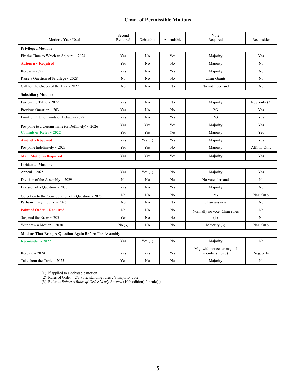#### **Chart of Permissible Motions**

| Motion / Year Used                                             | Second<br>Required | Debatable      | Amendable      | Vote<br>Required                               | Reconsider      |  |
|----------------------------------------------------------------|--------------------|----------------|----------------|------------------------------------------------|-----------------|--|
| <b>Privileged Motions</b>                                      |                    |                |                |                                                |                 |  |
| Fix the Time to Which to Adjourn $\sim$ 2024                   | Yes                | N <sub>0</sub> | Yes            | Majority                                       | Yes             |  |
| $Adjourn \sim Required$                                        | Yes                | N <sub>0</sub> | N <sub>o</sub> | Majority                                       | N <sub>0</sub>  |  |
| $Recess \sim 2025$                                             | Yes                | No             | Yes            | Majority                                       | N <sub>o</sub>  |  |
| Raise a Question of Privilege $\sim$ 2028                      | No                 | N <sub>o</sub> | No             | Chair Grants                                   | N <sub>o</sub>  |  |
| Call for the Orders of the Day $\sim$ 2027                     | No                 | No             | No             | No vote, demand                                | No              |  |
| <b>Subsidiary Motions</b>                                      |                    |                |                |                                                |                 |  |
| Lay on the Table $\sim$ 2029                                   | Yes                | No             | No             | Majority                                       | Neg. only $(3)$ |  |
| Previous Question $\sim$ 2031                                  | Yes                | No             | N <sub>o</sub> | 2/3                                            | Yes             |  |
| Limit or Extend Limits of Debate $\sim$ 2027                   | Yes                | N <sub>o</sub> | Yes            | 2/3                                            | Yes             |  |
| Postpone to a Certain Time (or Definitely) $\sim$ 2026         | Yes                | Yes            | Yes            | Majority                                       | Yes             |  |
| <b>Commit or Refer <math>\sim</math> 2022</b>                  | Yes                | Yes            | Yes            | Majority                                       | Yes             |  |
| $A$ mend ~ Required                                            | Yes                | Yes(1)         | Yes            | Majority                                       | Yes             |  |
| Postpone Indefinitely $\sim$ 2023                              | Yes                | Yes            | N <sub>o</sub> | Majority                                       | Affirm. Only    |  |
| <b>Main Motion ~ Required</b>                                  | Yes                | Yes            | Yes            | Majority                                       | Yes             |  |
| <b>Incidental Motions</b>                                      |                    |                |                |                                                |                 |  |
| Appeal $\sim$ 2025                                             | Yes                | Yes $(1)$      | No             | Majority                                       | Yes             |  |
| Division of the Assembly $\sim$ 2029                           | N <sub>0</sub>     | N <sub>0</sub> | N <sub>o</sub> | No vote, demand                                | N <sub>0</sub>  |  |
| Division of a Question $\sim$ 2030                             | Yes                | N <sub>o</sub> | Yes            | Majority                                       | No              |  |
| Objection to the Consideration of a Question $\sim 2028$       | No                 | No             | N <sub>o</sub> | 2/3                                            | Neg. Only       |  |
| Parliamentary Inquiry $\sim$ 2026                              | No                 | No             | No             | Chair answers                                  | No              |  |
| Point of Order ~ Required                                      | No                 | N <sub>0</sub> | No             | Normally no vote, Chair rules                  | N <sub>0</sub>  |  |
| Suspend the Rules $\sim$ 2031                                  | Yes                | N <sub>o</sub> | N <sub>o</sub> | (2)                                            | N <sub>o</sub>  |  |
| Withdraw a Motion $\sim$ 2030                                  | No(3)              | No             | No             | Majority (3)                                   | Neg. Only       |  |
| <b>Motions That Bring A Question Again Before The Assembly</b> |                    |                |                |                                                |                 |  |
| Reconsider $\sim$ 2022                                         | Yes                | Yes(1)         | N <sub>o</sub> | Majority                                       | N <sub>o</sub>  |  |
| Rescind $\sim$ 2024                                            | Yes                | Yes            | Yes            | Maj. with notice, or maj. of<br>membership (3) | Neg. only       |  |
| Take from the Table $\sim$ 2023                                | Yes                | No             | N <sub>o</sub> | Majority                                       | No              |  |

(1) If applied to a debatable motion

(2) Rules of Order – 2/3 vote, standing rules 2/3 majority vote

(3) Refer to *Robert's Rules of Order Newly Revised* (10th edition) for rule(s)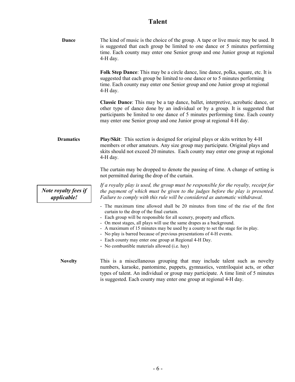## **Talent**

| <b>Dance</b>                               | The kind of music is the choice of the group. A tape or live music may be used. It<br>is suggested that each group be limited to one dance or 5 minutes performing<br>time. Each county may enter one Senior group and one Junior group at regional<br>4-H day.                                                                                                                                                                                                                                                                                           |
|--------------------------------------------|-----------------------------------------------------------------------------------------------------------------------------------------------------------------------------------------------------------------------------------------------------------------------------------------------------------------------------------------------------------------------------------------------------------------------------------------------------------------------------------------------------------------------------------------------------------|
|                                            | Folk Step Dance: This may be a circle dance, line dance, polka, square, etc. It is<br>suggested that each group be limited to one dance or to 5 minutes performing<br>time. Each county may enter one Senior group and one Junior group at regional<br>4-H day.                                                                                                                                                                                                                                                                                           |
|                                            | Classic Dance: This may be a tap dance, ballet, interpretive, acrobatic dance, or<br>other type of dance done by an individual or by a group. It is suggested that<br>participants be limited to one dance of 5 minutes performing time. Each county<br>may enter one Senior group and one Junior group at regional 4-H day.                                                                                                                                                                                                                              |
| <b>Dramatics</b>                           | <b>Play/Skit:</b> This section is designed for original plays or skits written by 4-H<br>members or other amateurs. Any size group may participate. Original plays and<br>skits should not exceed 20 minutes. Each county may enter one group at regional<br>4-H day.                                                                                                                                                                                                                                                                                     |
|                                            | The curtain may be dropped to denote the passing of time. A change of setting is<br>not permitted during the drop of the curtain.                                                                                                                                                                                                                                                                                                                                                                                                                         |
| Note royalty fees if<br><i>applicable!</i> | If a royalty play is used, the group must be responsible for the royalty, receipt for<br>the payment of which must be given to the judges before the play is presented.<br>Failure to comply with this rule will be considered as automatic withdrawal.                                                                                                                                                                                                                                                                                                   |
|                                            | - The maximum time allowed shall be 20 minutes from time of the rise of the first<br>curtain to the drop of the final curtain.<br>- Each group will be responsible for all scenery, property and effects.<br>- On most stages, all plays will use the same drapes as a background.<br>- A maximum of 15 minutes may be used by a county to set the stage for its play.<br>- No play is barred because of previous presentations of 4-H events.<br>- Each county may enter one group at Regional 4-H Day.<br>- No combustible materials allowed (i.e. hay) |
| <b>Novelty</b>                             | This is a miscellaneous grouping that may include talent such as novelty<br>numbers, karaoke, pantomime, puppets, gymnastics, ventriloquist acts, or other<br>types of talent. An individual or group may participate. A time limit of 5 minutes<br>is suggested. Each county may enter one group at regional 4-H day.                                                                                                                                                                                                                                    |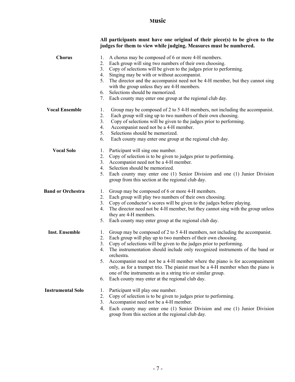#### **Music**

|                          | All participants must have one original of their piece(s) to be given to the<br>judges for them to view while judging. Measures must be numbered. |
|--------------------------|---------------------------------------------------------------------------------------------------------------------------------------------------|
| <b>Chorus</b>            | 1.<br>A chorus may be composed of 6 or more 4-H members.                                                                                          |
|                          | Each group will sing two numbers of their own choosing.<br>2.                                                                                     |
|                          | Copy of selections will be given to the judges prior to performing.<br>3.                                                                         |
|                          | Singing may be with or without accompanist.<br>4.                                                                                                 |
|                          | The director and the accompanist need not be 4-H member, but they cannot sing<br>5.                                                               |
|                          | with the group unless they are 4-H members.                                                                                                       |
|                          | Selections should be memorized.<br>6.                                                                                                             |
|                          | Each county may enter one group at the regional club day.<br>7.                                                                                   |
| <b>Vocal Ensemble</b>    | Group may be composed of 2 to 5 4-H members, not including the accompanist.<br>1.                                                                 |
|                          | 2.<br>Each group will sing up to two numbers of their own choosing.                                                                               |
|                          | Copy of selections will be given to the judges prior to performing.<br>3.                                                                         |
|                          | Accompanist need not be a 4-H member.<br>4.                                                                                                       |
|                          | Selections should be memorized.<br>5.                                                                                                             |
|                          | 6.<br>Each county may enter one group at the regional club day.                                                                                   |
| <b>Vocal Solo</b>        | Participant will sing one number.<br>1.                                                                                                           |
|                          | Copy of selection is to be given to judges prior to performing.<br>2.                                                                             |
|                          | Accompanist need not be a 4-H member.<br>3.                                                                                                       |
|                          | Selection should be memorized.<br>4.                                                                                                              |
|                          | Each county may enter one (1) Senior Division and one (1) Junior Division<br>5.<br>group from this section at the regional club day.              |
| <b>Band or Orchestra</b> | Group may be composed of 6 or more 4-H members.<br>1.                                                                                             |
|                          | Each group will play two numbers of their own choosing.<br>2.                                                                                     |
|                          | Copy of conductor's scores will be given to the judges before playing.<br>3.                                                                      |
|                          | The director need not be 4-H member, but they cannot sing with the group unless<br>4.<br>they are 4-H members.                                    |
|                          | Each county may enter group at the regional club day.<br>5.                                                                                       |
| <b>Inst. Ensemble</b>    | Group may be composed of 2 to 5 4-H members, not including the accompanist.<br>1.                                                                 |
|                          | Each group will play up to two numbers of their own choosing.<br>2.                                                                               |
|                          | Copy of selections will be given to the judges prior to performing.<br>3.                                                                         |
|                          | The instrumentation should include only recognized instruments of the band or<br>4.<br>orchestra.                                                 |
|                          | Accompanist need not be a 4-H member where the piano is for accompaniment<br>5.                                                                   |
|                          | only, as for a trumpet trio. The pianist must be a 4-H member when the piano is<br>one of the instruments as in a string trio or similar group.   |
|                          | Each county may enter at the regional club day.<br>6.                                                                                             |
| <b>Instrumental Solo</b> | Participant will play one number.<br>1.                                                                                                           |
|                          | Copy of selection is to be given to judges prior to performing.<br>2.                                                                             |
|                          | Accompanist need not be a 4-H member.<br>3.                                                                                                       |
|                          | 4.<br>Each county may enter one (1) Senior Division and one (1) Junior Division                                                                   |
|                          | group from this section at the regional club day.                                                                                                 |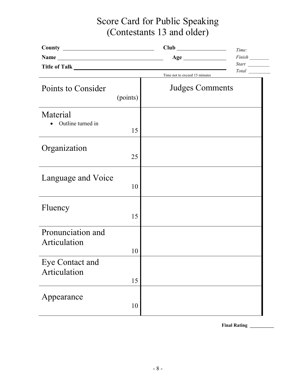# Score Card for Public Speaking (Contestants 13 and older)

|                                   |          |                               | Time: |
|-----------------------------------|----------|-------------------------------|-------|
| Name                              |          |                               |       |
|                                   |          |                               |       |
|                                   |          | Time not to exceed 15 minutes | Total |
| Points to Consider                | (points) | <b>Judges Comments</b>        |       |
| Material<br>Outline turned in     | 15       |                               |       |
| Organization                      | 25       |                               |       |
| Language and Voice                | 10       |                               |       |
| Fluency                           | 15       |                               |       |
| Pronunciation and<br>Articulation | 10       |                               |       |
| Eye Contact and<br>Articulation   | 15       |                               |       |
| Appearance                        | 10       |                               |       |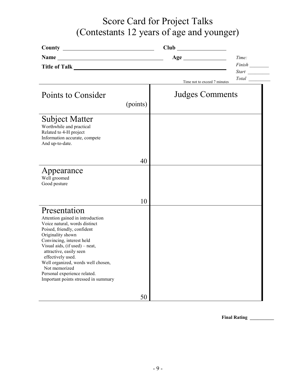# Score Card for Project Talks (Contestants 12 years of age and younger)

|                                                                                                                                                                                                                                                                                                                                                                                     |          |                              | Time: |
|-------------------------------------------------------------------------------------------------------------------------------------------------------------------------------------------------------------------------------------------------------------------------------------------------------------------------------------------------------------------------------------|----------|------------------------------|-------|
|                                                                                                                                                                                                                                                                                                                                                                                     |          |                              |       |
|                                                                                                                                                                                                                                                                                                                                                                                     |          | Time not to exceed 7 minutes |       |
| Points to Consider                                                                                                                                                                                                                                                                                                                                                                  | (points) | <b>Judges Comments</b>       |       |
|                                                                                                                                                                                                                                                                                                                                                                                     |          |                              |       |
| Subject Matter<br>Worthwhile and practical<br>Related to 4-H project<br>Information accurate, compete<br>And up-to-date.                                                                                                                                                                                                                                                            |          |                              |       |
|                                                                                                                                                                                                                                                                                                                                                                                     | 40       |                              |       |
| Appearance<br>Well groomed<br>Good posture                                                                                                                                                                                                                                                                                                                                          |          |                              |       |
|                                                                                                                                                                                                                                                                                                                                                                                     | 10       |                              |       |
| Presentation<br>Attention gained in introduction<br>Voice natural, words distinct<br>Poised, friendly, confident<br>Originality shown<br>Convincing, interest held<br>Visual aids, (if used) - neat,<br>attractive, easily seen<br>effectively used.<br>Well organized, words well chosen,<br>Not memorized<br>Personal experience related.<br>Important points stressed in summary |          |                              |       |
|                                                                                                                                                                                                                                                                                                                                                                                     | 50       |                              |       |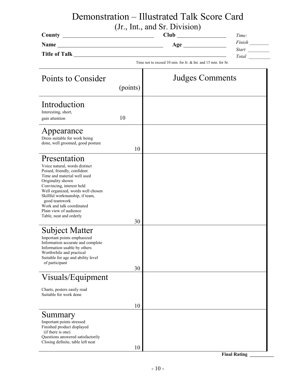# Demonstration – Illustrated Talk Score Card

|                                                                                                                                                                                                                                                                                                                                         |                                                               | (Jr., Int., and Sr. Division) | Time:               |
|-----------------------------------------------------------------------------------------------------------------------------------------------------------------------------------------------------------------------------------------------------------------------------------------------------------------------------------------|---------------------------------------------------------------|-------------------------------|---------------------|
| Name                                                                                                                                                                                                                                                                                                                                    |                                                               |                               |                     |
|                                                                                                                                                                                                                                                                                                                                         |                                                               |                               |                     |
|                                                                                                                                                                                                                                                                                                                                         | Time not to exceed 10 min. for Jr. & Int. and 15 min. for Sr. |                               |                     |
| Points to Consider                                                                                                                                                                                                                                                                                                                      | <b>Judges Comments</b><br>(points)                            |                               |                     |
| Introduction<br>Interesting, short,<br>gain attention                                                                                                                                                                                                                                                                                   | 10                                                            |                               |                     |
| Appearance<br>Dress suitable for work being<br>done, well groomed, good posture                                                                                                                                                                                                                                                         | 10                                                            |                               |                     |
| Presentation<br>Voice natural, words distinct<br>Poised, friendly, confident<br>Time and material well used<br>Originality shown<br>Convincing, interest held<br>Well organized, words well chosen<br>Skillful workmanship, if team,<br>good teamwork<br>Work and talk coordinated<br>Plain view of audience<br>Table, neat and orderly | 30                                                            |                               |                     |
| Subject Matter<br>Important points emphasized<br>Information accurate and complete<br>Information usable by others<br>Worthwhile and practical<br>Suitable for age and ability level<br>of participant                                                                                                                                  | 30                                                            |                               |                     |
| Visuals/Equipment                                                                                                                                                                                                                                                                                                                       |                                                               |                               |                     |
| Charts, posters easily read<br>Suitable for work done                                                                                                                                                                                                                                                                                   |                                                               |                               |                     |
|                                                                                                                                                                                                                                                                                                                                         | 10                                                            |                               |                     |
| Summary<br>Important points stressed<br>Finished product displayed<br>(if there is one)<br>Questions answered satisfactorily<br>Closing definite, table left neat                                                                                                                                                                       |                                                               |                               |                     |
|                                                                                                                                                                                                                                                                                                                                         | 10                                                            |                               | <b>Final Rating</b> |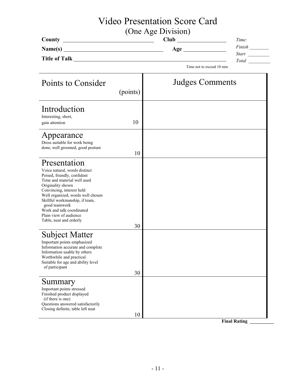# Video Presentation Score Card

(One Age Division)

| County               | Club | Time:        |
|----------------------|------|--------------|
| Name(s)              | Age  | Finish       |
| <b>Title of Talk</b> |      | <b>Start</b> |
|                      |      | Total        |

Time not to exceed 10 min.

Ť

| Points to Consider                                                                                                                                                                                                                                                                                                                      |          | <b>Judges Comments</b> |
|-----------------------------------------------------------------------------------------------------------------------------------------------------------------------------------------------------------------------------------------------------------------------------------------------------------------------------------------|----------|------------------------|
|                                                                                                                                                                                                                                                                                                                                         | (points) |                        |
| Introduction<br>Interesting, short,<br>gain attention                                                                                                                                                                                                                                                                                   | 10       |                        |
| Appearance<br>Dress suitable for work being<br>done, well groomed, good posture                                                                                                                                                                                                                                                         | 10       |                        |
| Presentation<br>Voice natural, words distinct<br>Poised, friendly, confident<br>Time and material well used<br>Originality shown<br>Convincing, interest held<br>Well organized, words well chosen<br>Skillful workmanship, if team,<br>good teamwork<br>Work and talk coordinated<br>Plain view of audience<br>Table, neat and orderly | 30       |                        |
| <b>Subject Matter</b><br>Important points emphasized<br>Information accurate and complete<br>Information usable by others<br>Worthwhile and practical<br>Suitable for age and ability level<br>of participant                                                                                                                           | 30       |                        |
| Summary<br>Important points stressed<br>Finished product displayed<br>(if there is one)<br>Questions answered satisfactorily<br>Closing definite, table left neat                                                                                                                                                                       | 10       |                        |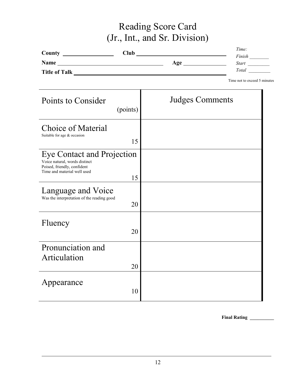# Reading Score Card (Jr., Int., and Sr. Division)

|                      |      |     | Time:        |
|----------------------|------|-----|--------------|
| County               | Club |     | Finish       |
| Name                 |      | Age | <b>Start</b> |
| <b>Title of Talk</b> |      |     | Total        |

Time not to exceed 5 minutes

| Points to Consider<br>(points)                                                                                                         | <b>Judges Comments</b> |
|----------------------------------------------------------------------------------------------------------------------------------------|------------------------|
| <b>Choice of Material</b><br>Suitable for age & occasion<br>15                                                                         |                        |
| <b>Eye Contact and Projection</b><br>Voice natural, words distinct<br>Poised, friendly, confident<br>Time and material well used<br>15 |                        |
| Language and Voice<br>Was the interpretation of the reading good<br>20                                                                 |                        |
| Fluency<br>20                                                                                                                          |                        |
| Pronunciation and<br>Articulation<br>20                                                                                                |                        |
| Appearance<br>10                                                                                                                       |                        |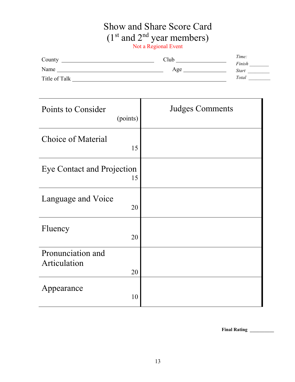### Show and Share Score Card  $(1<sup>st</sup>$  and  $2<sup>nd</sup>$  year members) Not a Regional Event

| County        | Club | Time:        |
|---------------|------|--------------|
|               |      | Finish       |
| Name          | Age  | <b>Start</b> |
| Title of Talk |      | Total        |

Points to Consider (points) Judges Comments Choice of Material 15 Eye Contact and Projection 15 Language and Voice 20 Fluency 20 Pronunciation and Articulation 20 Appearance 10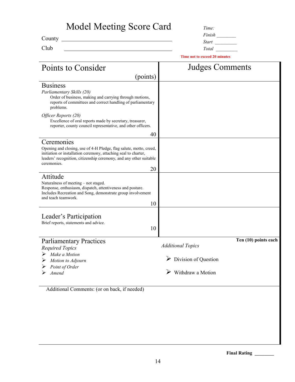| Model Meeting Score Card                                                                                                                                                                                                                                                      | Time:                                                                       |
|-------------------------------------------------------------------------------------------------------------------------------------------------------------------------------------------------------------------------------------------------------------------------------|-----------------------------------------------------------------------------|
| County<br><u> 1989 - Johann Barbara, martin amerikan basal dan berasal dan berasal dalam basal dalam basal dalam basal dala</u>                                                                                                                                               | Finish                                                                      |
| Club                                                                                                                                                                                                                                                                          | <i>Start</i><br>Total                                                       |
|                                                                                                                                                                                                                                                                               | <b>Time not to exceed 20 minutes</b>                                        |
| Points to Consider                                                                                                                                                                                                                                                            | <b>Judges Comments</b>                                                      |
| (points)                                                                                                                                                                                                                                                                      |                                                                             |
| <b>Business</b><br>Parliamentary Skills (20)<br>Order of business, making and carrying through motions,<br>reports of committees and correct handling of parliamentary<br>problems.                                                                                           |                                                                             |
| Officer Reports (20)<br>Excellence of oral reports made by secretary, treasurer,<br>reporter, county council representative, and other officers.                                                                                                                              |                                                                             |
| 40                                                                                                                                                                                                                                                                            |                                                                             |
| Ceremonies<br>Opening and closing, use of 4-H Pledge, flag salute, motto, creed,<br>initiation or installation ceremony, attaching seal to charter,<br>leaders' recognition, citizenship ceremony, and any other suitable<br>ceremonies.<br>20                                |                                                                             |
| Attitude<br>Naturalness of meeting - not staged.<br>Response, enthusiasm, dispatch, attentiveness and posture.<br>Includes Recreation and Song, demonstrate group involvement<br>and teach teamwork.<br>10<br>Leader's Participation<br>Brief reports, statements and advice. |                                                                             |
| 10                                                                                                                                                                                                                                                                            |                                                                             |
| <b>Parliamentary Practices</b><br><b>Required Topics</b><br>$\triangleright$ Make a Motion                                                                                                                                                                                    | $Ten(10)$ points each<br><b>Additional Topics</b>                           |
| Motion to Adjourn<br>Point of Order<br>Amend                                                                                                                                                                                                                                  | $\triangleright$ Division of Question<br>$\triangleright$ Withdraw a Motion |
| Additional Comments: (or on back, if needed)                                                                                                                                                                                                                                  |                                                                             |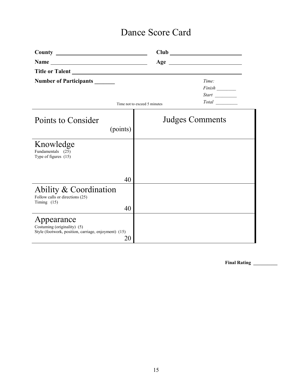## Dance Score Card

| <b>Number of Participants</b>                                                                           |                              | Time:<br>$Finish$ <sub>___________</sub> |
|---------------------------------------------------------------------------------------------------------|------------------------------|------------------------------------------|
|                                                                                                         | Time not to exceed 5 minutes | <i>Start</i><br>Total                    |
| Points to Consider<br>(points)                                                                          |                              | <b>Judges Comments</b>                   |
| Knowledge<br>Fundamentals (25)<br>Type of figures (15)                                                  |                              |                                          |
| 40                                                                                                      |                              |                                          |
| Ability & Coordination<br>Follow calls or directions (25)<br>Timing $(15)$<br>40                        |                              |                                          |
| Appearance<br>Costuming (originality) (5)<br>Style (footwork, position, carriage, enjoyment) (15)<br>20 |                              |                                          |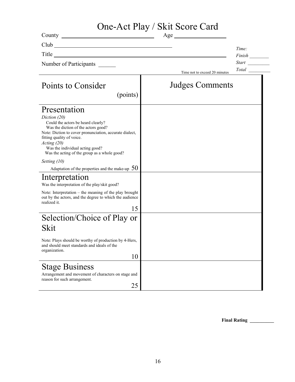# One-Act Play / Skit Score Card

|                                                                                                                                                                                                                                                                                                    | Age                           |              |
|----------------------------------------------------------------------------------------------------------------------------------------------------------------------------------------------------------------------------------------------------------------------------------------------------|-------------------------------|--------------|
| Club                                                                                                                                                                                                                                                                                               |                               | Time:        |
| Title<br><u> 1989 - Johann Barbara, martxa amerikan bashkar (</u>                                                                                                                                                                                                                                  |                               |              |
| Number of Participants                                                                                                                                                                                                                                                                             |                               |              |
|                                                                                                                                                                                                                                                                                                    | Time not to exceed 20 minutes | <i>Total</i> |
| Points to Consider<br>(points)                                                                                                                                                                                                                                                                     | <b>Judges Comments</b>        |              |
|                                                                                                                                                                                                                                                                                                    |                               |              |
| Presentation<br>Diction (20)<br>Could the actors be heard clearly?<br>Was the diction of the actors good?<br>Note: Diction to cover pronunciation, accurate dialect,<br>fitting quality of voice.<br>Acting(20)<br>Was the individual acting good?<br>Was the acting of the group as a whole good? |                               |              |
| Setting $(10)$                                                                                                                                                                                                                                                                                     |                               |              |
| Adaptation of the properties and the make-up $50$                                                                                                                                                                                                                                                  |                               |              |
| Interpretation<br>Was the interpretation of the play/skit good?                                                                                                                                                                                                                                    |                               |              |
| Note: Interpretation – the meaning of the play brought<br>out by the actors, and the degree to which the audience<br>realized it.                                                                                                                                                                  |                               |              |
| 15                                                                                                                                                                                                                                                                                                 |                               |              |
| Selection/Choice of Play or                                                                                                                                                                                                                                                                        |                               |              |
| Skit                                                                                                                                                                                                                                                                                               |                               |              |
| Note: Plays should be worthy of production by 4-Hers,<br>and should meet standards and ideals of the<br>organization.                                                                                                                                                                              |                               |              |
| 10                                                                                                                                                                                                                                                                                                 |                               |              |
| <b>Stage Business</b><br>Arrangement and movement of characters on stage and<br>reason for such arrangement.<br>25                                                                                                                                                                                 |                               |              |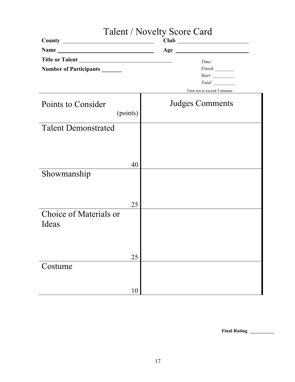|                                 | Talent / Novelty Score Card           |
|---------------------------------|---------------------------------------|
|                                 |                                       |
| Name                            |                                       |
| Number of Participants          | Time:                                 |
|                                 | Total<br>Time not to exceed 5 minutes |
| Points to Consider<br>(points)  | <b>Judges Comments</b>                |
| <b>Talent Demonstrated</b>      |                                       |
| 40                              |                                       |
| Showmanship                     |                                       |
| 25                              |                                       |
| Choice of Materials or<br>Ideas |                                       |
| 25                              |                                       |
| Costume                         |                                       |
| 10                              |                                       |